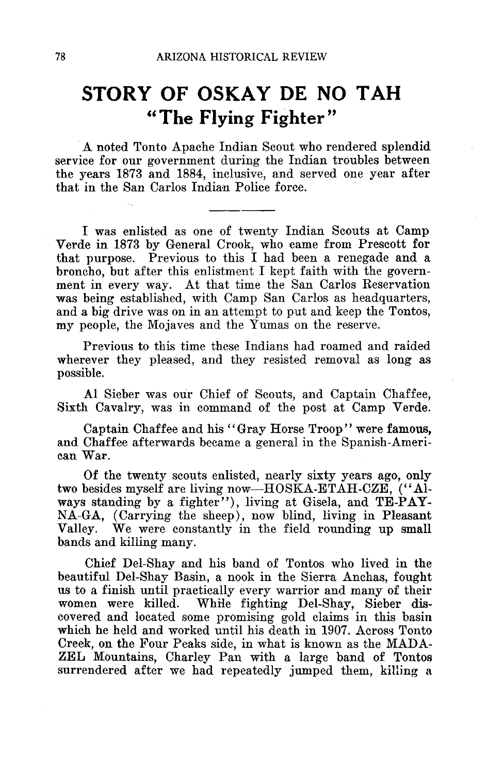## **STORY OF OSKAY DE NO TAH "The Flying Fighter"**

A noted Tonto Apache Indian Scout who rendered splendid service for our government during the Indian troubles between the years 1873 and 1884, inclusive, and served one year after that in the San Carlos Indian Police force.

I was enlisted as one of twenty Indian Scouts at Camp Verde in 1873 by General Crook, who came from Prescott for that purpose. Previous to this I had been a renegade and a broncho, but after this enlistment I kept faith with the government in every way. At that time the San Carlos Reservation was being established, with Camp San Carlos as headquarters, and a big drive was on in an attempt to put and keep the Tontos, my people, the Mojaves and the Yumas on the reserve.

Previous to this time these Indians had roamed and raided wherever they pleased, and they resisted removal as long as possible.

Al Sieber was our Chief of Scouts, and Captain Chaffee, Sixth Cavalry, was in command of the post at Camp Verde.

Captain Chaffee and his "Gray Horse Troop" were famous, and Chaffee afterwards became a general in the Spanish-American War.

Of the twenty scouts enlisted, nearly sixty years ago, only two besides myself are living now—HOSKA-ETAH-CZE, ("Always standing by a fighter"), living at Gisela, and TE-PAY-NA-GA, (Carrying the sheep), now blind, living in Pleasant We were constantly in the field rounding up small bands and killing many.

Chief Del-Shay and his band of Tontos who lived in the beautiful Del-Shay Basin, a nook in the Sierra Anchas, fought us to a finish until practically every warrior and many of their women were killed. While fighting Del-Shay, Sieber dis-While fighting Del-Shay, Sieber discovered and located some promising gold claims in this basin which he held and worked until his death in 1907. Across Tonto Creek, on the Four Peaks side, in what is known as the MADA-ZEL Mountains, Charley Pan with a large band of Tontos surrendered after we had repeatedly jumped them, killing a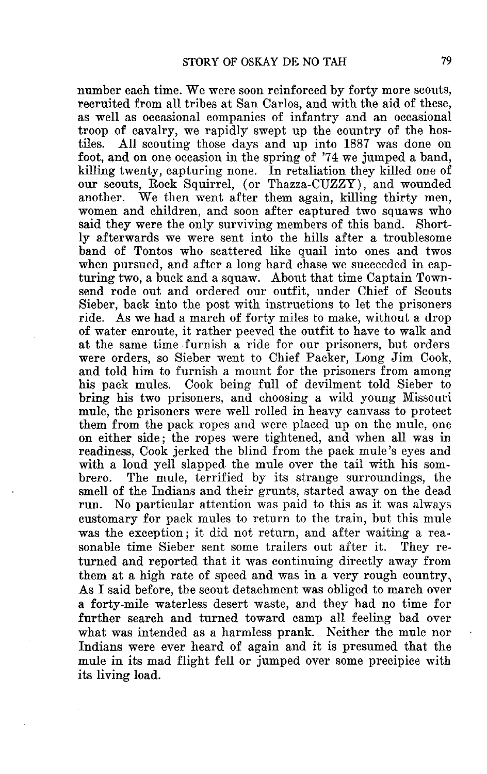number each time. We were soon reinforced by forty more scouts, recruited from all tribes at San Carlos, and with the aid of these, as well as occasional companies of infantry and an occasional troop of cavalry, we rapidly swept up the country of the hos-<br>tiles. All scouting those days and up into 1887 was done on All scouting those days and up into 1887 was done on foot, and on one occasion in the spring of '74 we jumped a band, killing twenty, capturing none. In retaliation they killed one of our scouts, Rock Squirrel, (or Thazza-CUZZY), and wounded another. We then went after them again, killing thirty men. We then went after them again, killing thirty men, women and children, and soon after captured two squaws who said they were the only surviving members of this band. Shortly afterwards we were sent into the hills after a troublesome band of Tontos who scattered like quail into ones and twos when pursued, and after a long hard chase we succeeded in capturing two, a buck and a squaw. About that time Captain Townsend rode out and ordered our outfit, under Chief of Scouts Sieber, back into the post with instructions to let the prisoners ride. As we had a march of forty miles to make, without a drop of water enroute, it rather peeved the outfit to have to walk and at the same time furnish a ride for our prisoners, but orders were orders, so Sieber went to Chief Packer, Long Jim Cook, and told him to furnish a mount for the prisoners from among his pack mules. Cook being full of devilment told Sieber to bring his two prisoners, and choosing a wild young Missouri mule, the prisoners were well rolled in heavy canvass to protect them from the pack ropes and were placed up on the mule, one on either side ; the ropes were tightened, and when all was in readiness, Cook jerked the blind from the pack mule's eyes and with a loud yell slapped the mule over the tail with his sombrero. The mule, terrified by its strange surroundings, the The mule, terrified by its strange surroundings, the smell of the Indians and their grunts, started away on the dead run. No particular attention was paid to this as it was always customary for pack mules to return to the train, but this mule was the exception; it did not return, and after waiting a rea-<br>sonable time Sieber sent some trailers out after it. They resonable time Sieber sent some trailers out after it. turned and reported that it was continuing directly away from them at a high rate of speed and was in a very rough country, As I said before, the scout detachment was obliged to march over a forty-mile waterless desert waste, and they had no time for further search and turned toward camp all feeling bad over what was intended as a harmless prank. Neither the mule nor Indians were ever heard of again and it is presumed that the mule in its mad flight fell or jumped over some precipice with its living load.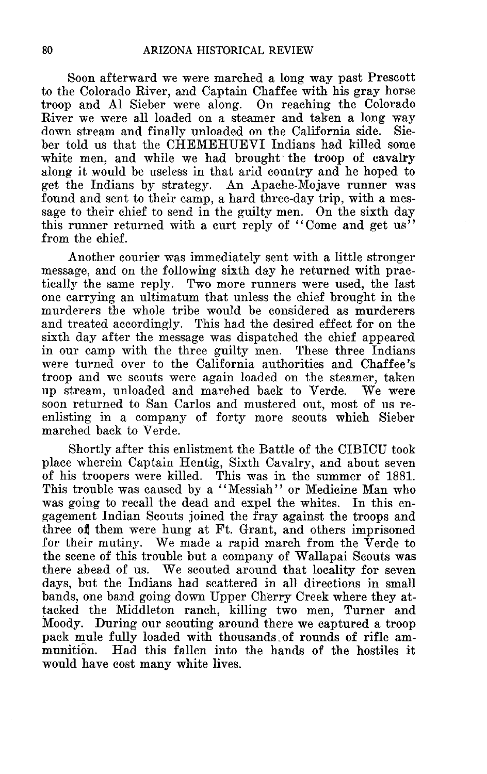Soon afterward we were marched a long way past Prescott to the Colorado River, and Captain Chaffee with his gray horse troop and Al Sieber were along. On reaching the Colorado River we were all loaded on a steamer and taken a long way down stream and finally unloaded on the California side. Sieber told us that the CHEMEHUEVI Indians had killed some white men, and while we had brought the troop of cavalry along it would be useless in that arid country and he hoped to get the Indians by strategy. An Apache-Mojave runner was found and sent to their camp, a hard three-day trip, with a message to their chief to send in the guilty men. On the sixth day this runner returned with a curt reply of "Come and get us" from the chief.

Another courier was immediately sent with a little stronger message, and on the following sixth day he returned with practically the same reply. Two more runners were used, the last one carrying an ultimatum that unless the chief brought in the murderers the whole tribe would be considered as murderers and treated accordingly. This had the desired effect for on the sixth day after the message was dispatched the chief appeared in our camp with the three guilty men. These three Indians were turned over to the California authorities and Chaffee 's troop and we scouts were again loaded on the steamer, taken up stream, unloaded and marched back to Verde. We were soon returned to San Carlos and mustered out, most of us reenlisting in a company of forty more scouts which Sieber marched back to Verde.

Shortly after this enlistment the Battle of the CIBICU took place wherein Captain Hentig, Sixth Cavalry, and about seven of his troopers were killed. This was in the summer of 1881. This trouble was caused by a "Messiah" or Medicine Man who was going to recall the dead and expel the whites. In this engagement Indian Scouts joined the fray against the troops and three of them were hung at Ft. Grant, and others imprisoned for their mutiny. We made a rapid march from the Verde to the scene of this trouble but a company of Wallapai Scouts was there ahead of us. We scouted around that locality for seven days, but the Indians had scattered in all directions in small bands, one band going down Upper Cherry Creek where they attacked the Middleton ranch, killing two men, Turner and Moody. During our scouting around there we captured a troop pack mule fully loaded with thousands of rounds of rifle ammunition. Had this fallen into the hands of the hostiles it would have cost many white lives.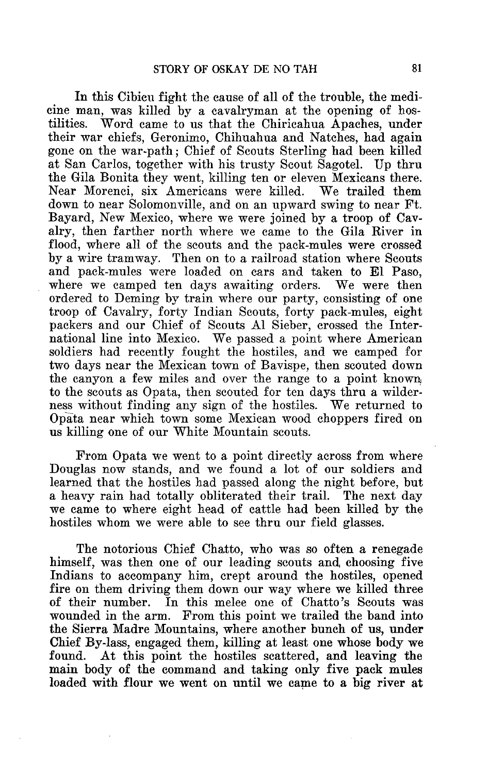In this Cibicu fight the cause of all of the trouble, the medicine man, was killed by a cavalryman at the opening of hos-Word came to us that the Chiricahua Apaches, under their war chiefs, Geronimo, Chihuahua and Natches, had again gone on the war-path ; Chief of Scouts Sterling had been killed at San Carlos, together with his trusty Scout Sagotel. Up thru the Gila Bonita they went, killing ten or eleven Mexicans there. Near Morenci, six Americans were killed. down to near Solomonville, and on an upward swing to near Ft. Bayard, New Mexico, where we were joined by a troop of Cavalry, then farther north where we came to the Gila River in flood, where all of the scouts and the pack-mules were crossed by a wire tramway. Then on to a railroad station where Scouts and pack-mules were loaded on cars and taken to El Paso, where we camped ten days awaiting orders. We were then ordered to Deming by train where our party, consisting of one troop of Cavalry, forty Indian Scouts, forty pack-mules, eight packers and our Chief of Scouts Al Sieber, crossed the International line into Mexico. We passed a point where American soldiers had recently fought the hostiles, and we camped for two days near the Mexican town of Bavispe, then scouted down the canyon a few miles and over the range to a point known, to the scouts as Opata, then scouted for ten days thru a wilderness without finding any sign of the hostiles. We returned to Opata near which town some Mexican wood choppers fired on us killing one of our White Mountain scouts.

From Opata we went to a point directly across from where Douglas now stands, and we found a lot of our soldiers and learned that the hostiles had passed along the night before, but a heavy rain had totally obliterated their trail. The next day we came to where eight head of cattle had been killed by the hostiles whom we were able to see thru our field glasses.

The notorious Chief Chatto, who was so often a renegade himself, was then one of our leading scouts and choosing five Indians to accompany him, crept around the hostiles, opened fire on them driving them down our way where we killed three of their number. In this melee one of Chatto's Scouts was wounded in the arm. From this point we trailed the band into the Sierra Madre Mountains, where another bunch of us, under Chief By-lass, engaged them, killing at least one whose body we At this point the hostiles scattered, and leaving the main body of the command and taking only five pack mules loaded with flour we went on until we came to a big river at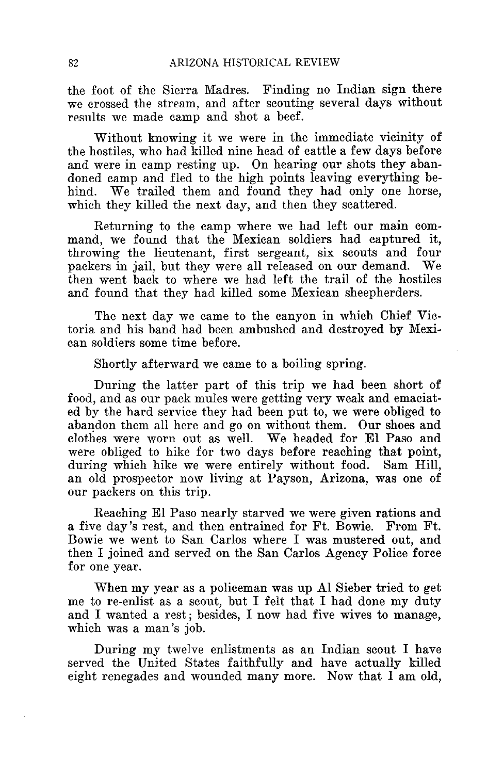the foot of the Sierra Madres. Finding no Indian sign there we crossed the stream, and after scouting several days without results we made camp and shot a beef.

Without knowing it we were in the immediate vicinity of the hostiles, who had killed nine head of cattle a few days before and were in camp resting up. On hearing our shots they abandoned camp and fled to the high points leaving everything behind. We trailed them and found they had only one horse, which they killed the next day, and then they scattered.

Returning to the camp where we had left our main command, we found that the Mexican soldiers had captured it, throwing the lieutenant, first sergeant, six scouts and four packers in jail, but they were all released on our demand. We then went back to where we had left the trail of the hostiles and found that they had killed some Mexican sheepherders.

The next day we came to the canyon in which Chief Victoria and his band had been ambushed and destroyed by Mexican soldiers some time before.

Shortly afterward we came to a boiling spring.

During the latter part of this trip we had been short of food, and as our pack mules were getting very weak and emaciated by the hard service they had been put to, we were obliged to abandon them all here and go on without them. Our shoes and clothes were worn out as well. We headed for El Paso and were obliged to hike for two days before reaching that point, during which hike we were entirely without food. Sam Hill, an old prospector now living at Payson, Arizona, was one of our packers on this trip.

Reaching El Paso nearly starved we were given rations and a five day's rest, and then entrained for Ft. Bowie. From Ft. Bowie we went to San Carlos where I was mustered out, and then I joined and served on the San Carlos Agency Police force for one year.

When my year as a policeman was up Al Sieber tried to get me to re-enlist as a scout, but I felt that I had done my duty and I wanted a rest; besides, I now had five wives to manage. which was a man's job.

During my twelve enlistments as an Indian scout I have served the United States faithfully and have actually killed eight renegades and wounded many more. Now that I am old,